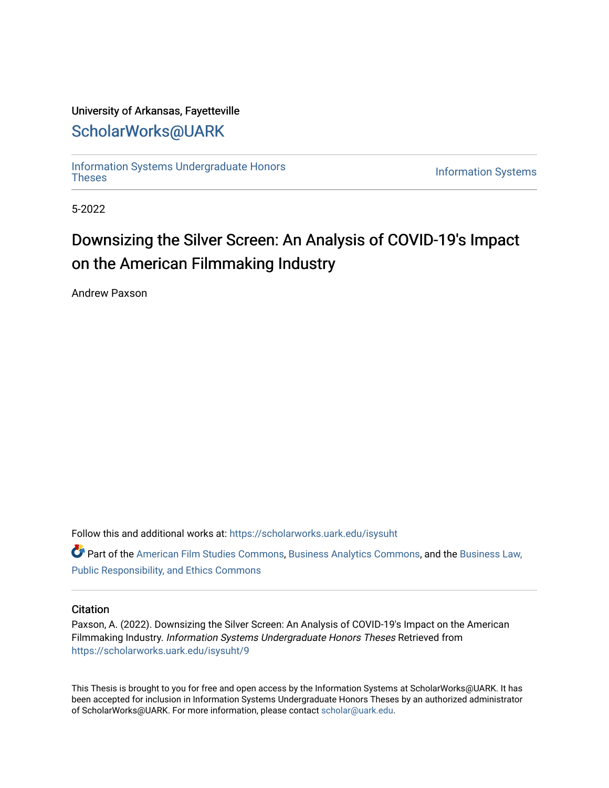## University of Arkansas, Fayetteville

# [ScholarWorks@UARK](https://scholarworks.uark.edu/)

[Information Systems Undergraduate Honors](https://scholarworks.uark.edu/isysuht)

**Information Systems** 

5-2022

# Downsizing the Silver Screen: An Analysis of COVID-19's Impact on the American Filmmaking Industry

Andrew Paxson

Follow this and additional works at: [https://scholarworks.uark.edu/isysuht](https://scholarworks.uark.edu/isysuht?utm_source=scholarworks.uark.edu%2Fisysuht%2F9&utm_medium=PDF&utm_campaign=PDFCoverPages) 

Part of the [American Film Studies Commons,](http://network.bepress.com/hgg/discipline/440?utm_source=scholarworks.uark.edu%2Fisysuht%2F9&utm_medium=PDF&utm_campaign=PDFCoverPages) [Business Analytics Commons](http://network.bepress.com/hgg/discipline/1398?utm_source=scholarworks.uark.edu%2Fisysuht%2F9&utm_medium=PDF&utm_campaign=PDFCoverPages), and the [Business Law,](http://network.bepress.com/hgg/discipline/628?utm_source=scholarworks.uark.edu%2Fisysuht%2F9&utm_medium=PDF&utm_campaign=PDFCoverPages) [Public Responsibility, and Ethics Commons](http://network.bepress.com/hgg/discipline/628?utm_source=scholarworks.uark.edu%2Fisysuht%2F9&utm_medium=PDF&utm_campaign=PDFCoverPages) 

#### **Citation**

Paxson, A. (2022). Downsizing the Silver Screen: An Analysis of COVID-19's Impact on the American Filmmaking Industry. Information Systems Undergraduate Honors Theses Retrieved from [https://scholarworks.uark.edu/isysuht/9](https://scholarworks.uark.edu/isysuht/9?utm_source=scholarworks.uark.edu%2Fisysuht%2F9&utm_medium=PDF&utm_campaign=PDFCoverPages) 

This Thesis is brought to you for free and open access by the Information Systems at ScholarWorks@UARK. It has been accepted for inclusion in Information Systems Undergraduate Honors Theses by an authorized administrator of ScholarWorks@UARK. For more information, please contact [scholar@uark.edu.](mailto:scholar@uark.edu)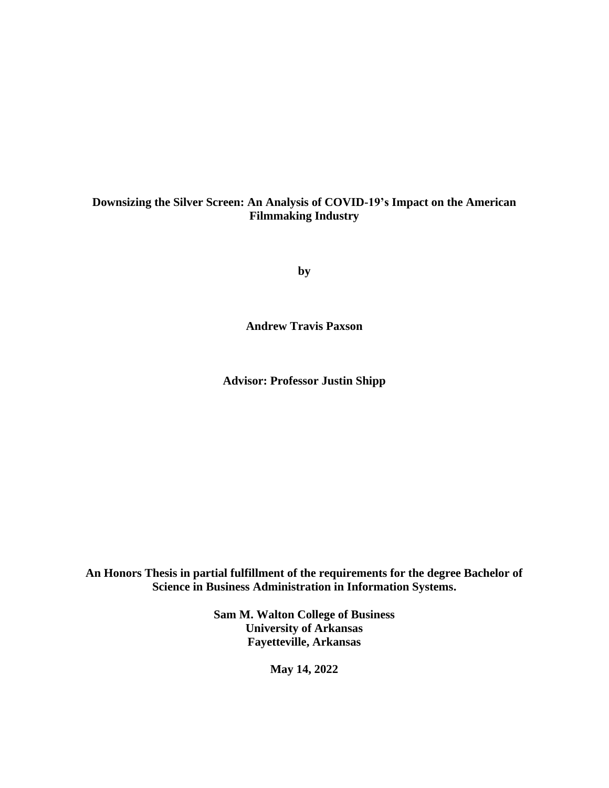## **Downsizing the Silver Screen: An Analysis of COVID-19's Impact on the American Filmmaking Industry**

**by**

**Andrew Travis Paxson**

**Advisor: Professor Justin Shipp**

**An Honors Thesis in partial fulfillment of the requirements for the degree Bachelor of Science in Business Administration in Information Systems.**

> **Sam M. Walton College of Business University of Arkansas Fayetteville, Arkansas**

> > **May 14, 2022**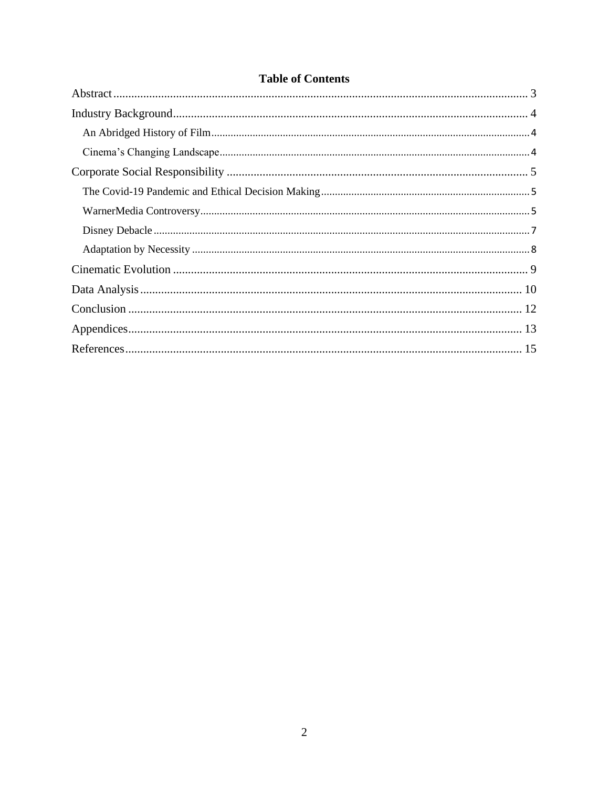| <b>Table of Contents</b> |  |  |  |
|--------------------------|--|--|--|
|                          |  |  |  |
|                          |  |  |  |
|                          |  |  |  |
|                          |  |  |  |
|                          |  |  |  |
|                          |  |  |  |
|                          |  |  |  |
|                          |  |  |  |
|                          |  |  |  |
|                          |  |  |  |
|                          |  |  |  |
|                          |  |  |  |
|                          |  |  |  |
|                          |  |  |  |

# $\overline{2}$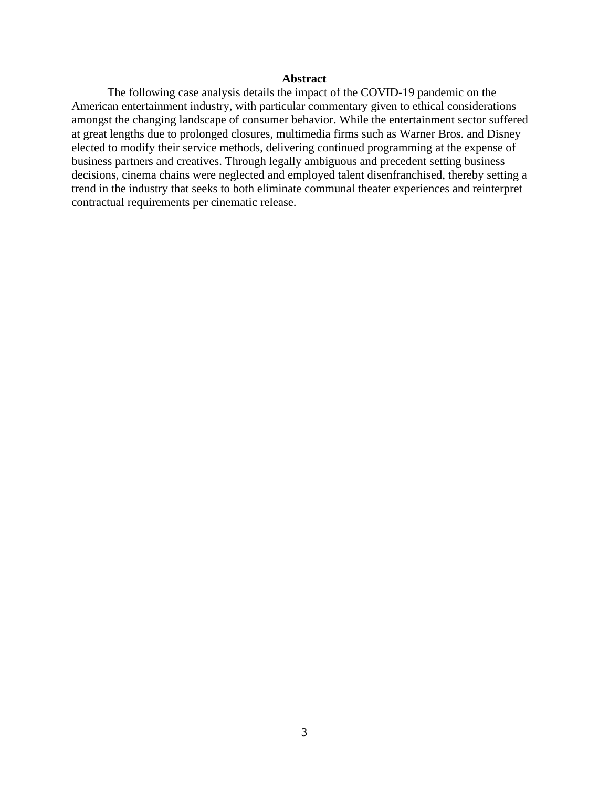#### **Abstract**

<span id="page-3-0"></span>The following case analysis details the impact of the COVID-19 pandemic on the American entertainment industry, with particular commentary given to ethical considerations amongst the changing landscape of consumer behavior. While the entertainment sector suffered at great lengths due to prolonged closures, multimedia firms such as Warner Bros. and Disney elected to modify their service methods, delivering continued programming at the expense of business partners and creatives. Through legally ambiguous and precedent setting business decisions, cinema chains were neglected and employed talent disenfranchised, thereby setting a trend in the industry that seeks to both eliminate communal theater experiences and reinterpret contractual requirements per cinematic release.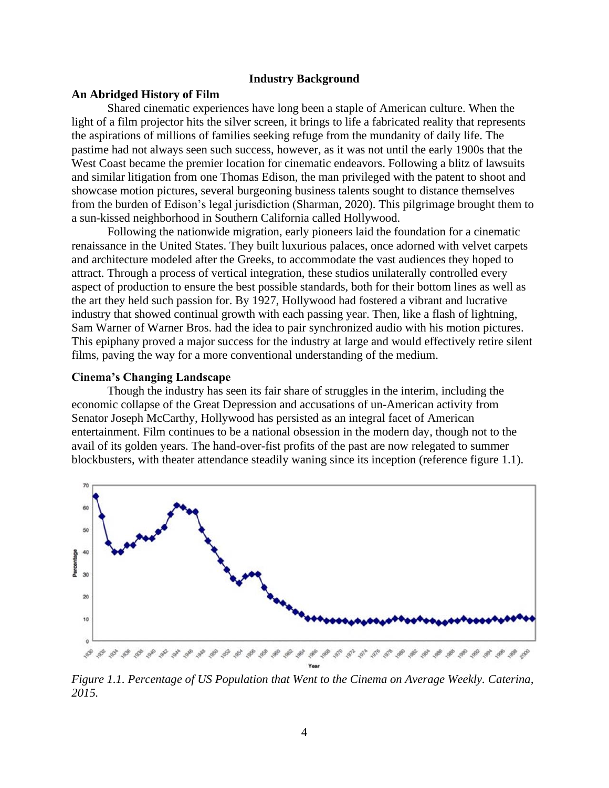#### **Industry Background**

#### **An Abridged History of Film**

Shared cinematic experiences have long been a staple of American culture. When the light of a film projector hits the silver screen, it brings to life a fabricated reality that represents the aspirations of millions of families seeking refuge from the mundanity of daily life. The pastime had not always seen such success, however, as it was not until the early 1900s that the West Coast became the premier location for cinematic endeavors. Following a blitz of lawsuits and similar litigation from one Thomas Edison, the man privileged with the patent to shoot and showcase motion pictures, several burgeoning business talents sought to distance themselves from the burden of Edison's legal jurisdiction (Sharman, 2020). This pilgrimage brought them to a sun-kissed neighborhood in Southern California called Hollywood.

Following the nationwide migration, early pioneers laid the foundation for a cinematic renaissance in the United States. They built luxurious palaces, once adorned with velvet carpets and architecture modeled after the Greeks, to accommodate the vast audiences they hoped to attract. Through a process of vertical integration, these studios unilaterally controlled every aspect of production to ensure the best possible standards, both for their bottom lines as well as the art they held such passion for. By 1927, Hollywood had fostered a vibrant and lucrative industry that showed continual growth with each passing year. Then, like a flash of lightning, Sam Warner of Warner Bros. had the idea to pair synchronized audio with his motion pictures. This epiphany proved a major success for the industry at large and would effectively retire silent films, paving the way for a more conventional understanding of the medium.

#### **Cinema's Changing Landscape**

Though the industry has seen its fair share of struggles in the interim, including the economic collapse of the Great Depression and accusations of un-American activity from Senator Joseph McCarthy, Hollywood has persisted as an integral facet of American entertainment. Film continues to be a national obsession in the modern day, though not to the avail of its golden years. The hand-over-fist profits of the past are now relegated to summer blockbusters, with theater attendance steadily waning since its inception (reference figure 1.1).



*Figure 1.1. Percentage of US Population that Went to the Cinema on Average Weekly. Caterina, 2015.*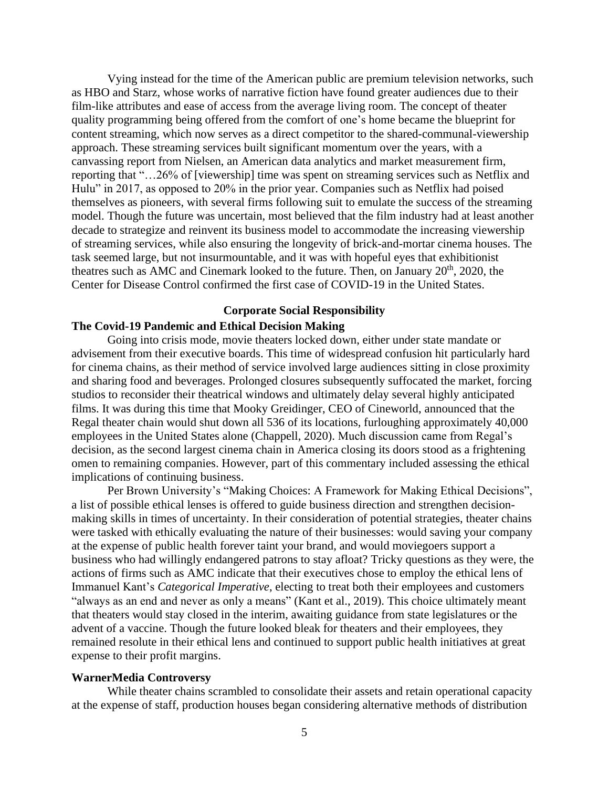Vying instead for the time of the American public are premium television networks, such as HBO and Starz, whose works of narrative fiction have found greater audiences due to their film-like attributes and ease of access from the average living room. The concept of theater quality programming being offered from the comfort of one's home became the blueprint for content streaming, which now serves as a direct competitor to the shared-communal-viewership approach. These streaming services built significant momentum over the years, with a canvassing report from Nielsen, an American data analytics and market measurement firm, reporting that "…26% of [viewership] time was spent on streaming services such as Netflix and Hulu" in 2017, as opposed to 20% in the prior year. Companies such as Netflix had poised themselves as pioneers, with several firms following suit to emulate the success of the streaming model. Though the future was uncertain, most believed that the film industry had at least another decade to strategize and reinvent its business model to accommodate the increasing viewership of streaming services, while also ensuring the longevity of brick-and-mortar cinema houses. The task seemed large, but not insurmountable, and it was with hopeful eyes that exhibitionist theatres such as AMC and Cinemark looked to the future. Then, on January  $20<sup>th</sup>$ ,  $2020$ , the Center for Disease Control confirmed the first case of COVID-19 in the United States.

#### **Corporate Social Responsibility**

## **The Covid-19 Pandemic and Ethical Decision Making**

Going into crisis mode, movie theaters locked down, either under state mandate or advisement from their executive boards. This time of widespread confusion hit particularly hard for cinema chains, as their method of service involved large audiences sitting in close proximity and sharing food and beverages. Prolonged closures subsequently suffocated the market, forcing studios to reconsider their theatrical windows and ultimately delay several highly anticipated films. It was during this time that Mooky Greidinger, CEO of Cineworld, announced that the Regal theater chain would shut down all 536 of its locations, furloughing approximately 40,000 employees in the United States alone (Chappell, 2020). Much discussion came from Regal's decision, as the second largest cinema chain in America closing its doors stood as a frightening omen to remaining companies. However, part of this commentary included assessing the ethical implications of continuing business.

Per Brown University's "Making Choices: A Framework for Making Ethical Decisions", a list of possible ethical lenses is offered to guide business direction and strengthen decisionmaking skills in times of uncertainty. In their consideration of potential strategies, theater chains were tasked with ethically evaluating the nature of their businesses: would saving your company at the expense of public health forever taint your brand, and would moviegoers support a business who had willingly endangered patrons to stay afloat? Tricky questions as they were, the actions of firms such as AMC indicate that their executives chose to employ the ethical lens of Immanuel Kant's *Categorical Imperative*, electing to treat both their employees and customers "always as an end and never as only a means" (Kant et al., 2019). This choice ultimately meant that theaters would stay closed in the interim, awaiting guidance from state legislatures or the advent of a vaccine. Though the future looked bleak for theaters and their employees, they remained resolute in their ethical lens and continued to support public health initiatives at great expense to their profit margins.

#### **WarnerMedia Controversy**

While theater chains scrambled to consolidate their assets and retain operational capacity at the expense of staff, production houses began considering alternative methods of distribution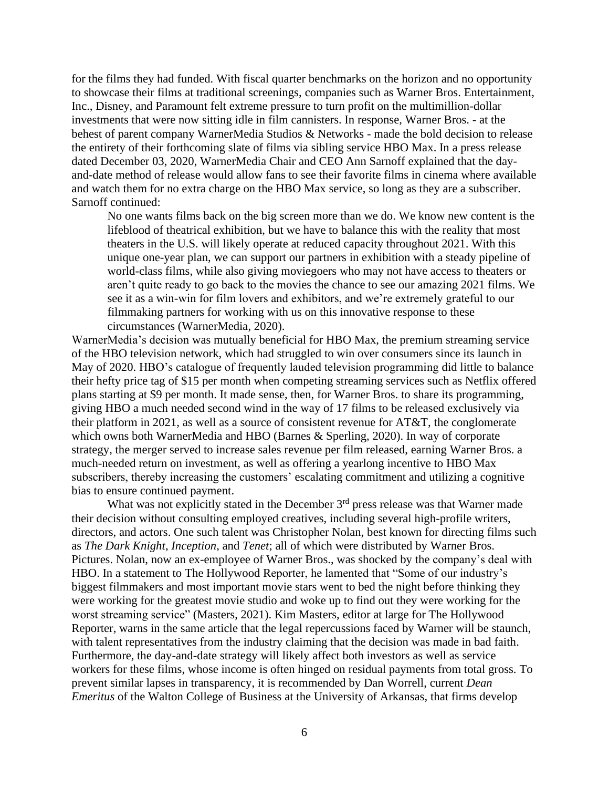for the films they had funded. With fiscal quarter benchmarks on the horizon and no opportunity to showcase their films at traditional screenings, companies such as Warner Bros. Entertainment, Inc., Disney, and Paramount felt extreme pressure to turn profit on the multimillion-dollar investments that were now sitting idle in film cannisters. In response, Warner Bros. - at the behest of parent company WarnerMedia Studios & Networks - made the bold decision to release the entirety of their forthcoming slate of films via sibling service HBO Max. In a press release dated December 03, 2020, WarnerMedia Chair and CEO Ann Sarnoff explained that the dayand-date method of release would allow fans to see their favorite films in cinema where available and watch them for no extra charge on the HBO Max service, so long as they are a subscriber. Sarnoff continued:

No one wants films back on the big screen more than we do. We know new content is the lifeblood of theatrical exhibition, but we have to balance this with the reality that most theaters in the U.S. will likely operate at reduced capacity throughout 2021. With this unique one-year plan, we can support our partners in exhibition with a steady pipeline of world-class films, while also giving moviegoers who may not have access to theaters or aren't quite ready to go back to the movies the chance to see our amazing 2021 films. We see it as a win-win for film lovers and exhibitors, and we're extremely grateful to our filmmaking partners for working with us on this innovative response to these circumstances (WarnerMedia, 2020).

WarnerMedia's decision was mutually beneficial for HBO Max, the premium streaming service of the HBO television network, which had struggled to win over consumers since its launch in May of 2020. HBO's catalogue of frequently lauded television programming did little to balance their hefty price tag of \$15 per month when competing streaming services such as Netflix offered plans starting at \$9 per month. It made sense, then, for Warner Bros. to share its programming, giving HBO a much needed second wind in the way of 17 films to be released exclusively via their platform in 2021, as well as a source of consistent revenue for AT&T, the conglomerate which owns both WarnerMedia and HBO (Barnes & Sperling, 2020). In way of corporate strategy, the merger served to increase sales revenue per film released, earning Warner Bros. a much-needed return on investment, as well as offering a yearlong incentive to HBO Max subscribers, thereby increasing the customers' escalating commitment and utilizing a cognitive bias to ensure continued payment.

What was not explicitly stated in the December 3<sup>rd</sup> press release was that Warner made their decision without consulting employed creatives, including several high-profile writers, directors, and actors. One such talent was Christopher Nolan, best known for directing films such as *The Dark Knight*, *Inception*, and *Tenet*; all of which were distributed by Warner Bros. Pictures. Nolan, now an ex-employee of Warner Bros., was shocked by the company's deal with HBO. In a statement to The Hollywood Reporter, he lamented that "Some of our industry's biggest filmmakers and most important movie stars went to bed the night before thinking they were working for the greatest movie studio and woke up to find out they were working for the worst streaming service" (Masters, 2021). Kim Masters, editor at large for The Hollywood Reporter, warns in the same article that the legal repercussions faced by Warner will be staunch, with talent representatives from the industry claiming that the decision was made in bad faith. Furthermore, the day-and-date strategy will likely affect both investors as well as service workers for these films, whose income is often hinged on residual payments from total gross. To prevent similar lapses in transparency, it is recommended by Dan Worrell, current *Dean Emeritus* of the Walton College of Business at the University of Arkansas, that firms develop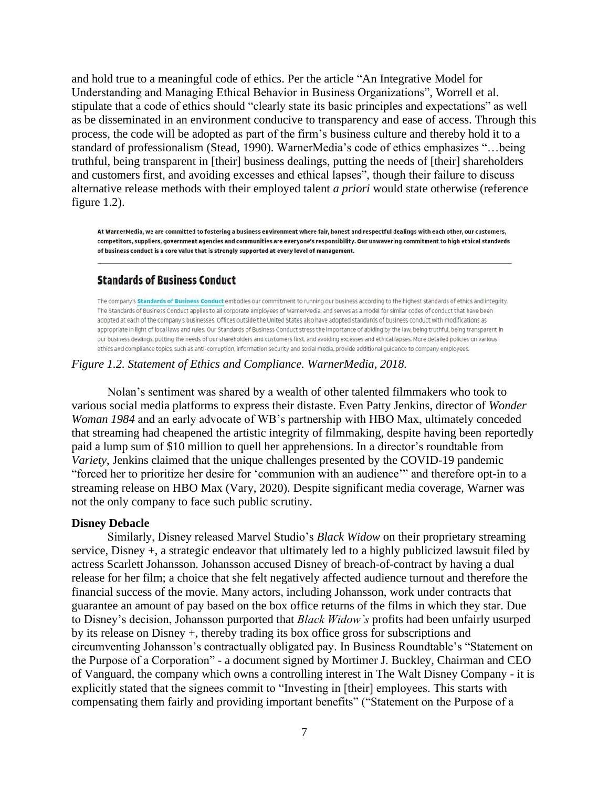and hold true to a meaningful code of ethics. Per the article "An Integrative Model for Understanding and Managing Ethical Behavior in Business Organizations", Worrell et al. stipulate that a code of ethics should "clearly state its basic principles and expectations" as well as be disseminated in an environment conducive to transparency and ease of access. Through this process, the code will be adopted as part of the firm's business culture and thereby hold it to a standard of professionalism (Stead, 1990). WarnerMedia's code of ethics emphasizes "…being truthful, being transparent in [their] business dealings, putting the needs of [their] shareholders and customers first, and avoiding excesses and ethical lapses", though their failure to discuss alternative release methods with their employed talent *a priori* would state otherwise (reference figure 1.2).

At WarnerMedia, we are committed to fostering a business environment where fair, honest and respectful dealings with each other, our customers, competitors, suppliers, government agencies and communities are everyone's responsibility. Our unwavering commitment to high ethical standards of business conduct is a core value that is strongly supported at every level of management.

## **Standards of Business Conduct**

The company's Standards of Business Conduct embodies our commitment to running our business according to the highest standards of ethics and integrity. The Standards of Business Conduct applies to all corporate employees of WarnerMedia, and serves as a model for similar codes of conduct that have been adopted at each of the company's businesses. Offices outside the United States also have adopted standards of business conduct with modifications as appropriate in light of local laws and rules. Our Standards of Business Conduct stress the importance of abiding by the law, being truthful, being transparent in our business dealings, putting the needs of our shareholders and customers first, and avoiding excesses and ethical lapses. More detailed policies on various ethics and compliance topics, such as anti-corruption, information security and social media, provide additional guidance to company employees.

#### *Figure 1.2. Statement of Ethics and Compliance. WarnerMedia, 2018.*

Nolan's sentiment was shared by a wealth of other talented filmmakers who took to various social media platforms to express their distaste. Even Patty Jenkins, director of *Wonder Woman 1984* and an early advocate of WB's partnership with HBO Max, ultimately conceded that streaming had cheapened the artistic integrity of filmmaking, despite having been reportedly paid a lump sum of \$10 million to quell her apprehensions. In a director's roundtable from *Variety*, Jenkins claimed that the unique challenges presented by the COVID-19 pandemic "forced her to prioritize her desire for 'communion with an audience'" and therefore opt-in to a streaming release on HBO Max (Vary, 2020). Despite significant media coverage, Warner was not the only company to face such public scrutiny.

#### **Disney Debacle**

Similarly, Disney released Marvel Studio's *Black Widow* on their proprietary streaming service, Disney +, a strategic endeavor that ultimately led to a highly publicized lawsuit filed by actress Scarlett Johansson. Johansson accused Disney of breach-of-contract by having a dual release for her film; a choice that she felt negatively affected audience turnout and therefore the financial success of the movie. Many actors, including Johansson, work under contracts that guarantee an amount of pay based on the box office returns of the films in which they star. Due to Disney's decision, Johansson purported that *Black Widow's* profits had been unfairly usurped by its release on Disney +, thereby trading its box office gross for subscriptions and circumventing Johansson's contractually obligated pay. In Business Roundtable's "Statement on the Purpose of a Corporation" - a document signed by Mortimer J. Buckley, Chairman and CEO of Vanguard, the company which owns a controlling interest in The Walt Disney Company - it is explicitly stated that the signees commit to "Investing in [their] employees. This starts with compensating them fairly and providing important benefits" ("Statement on the Purpose of a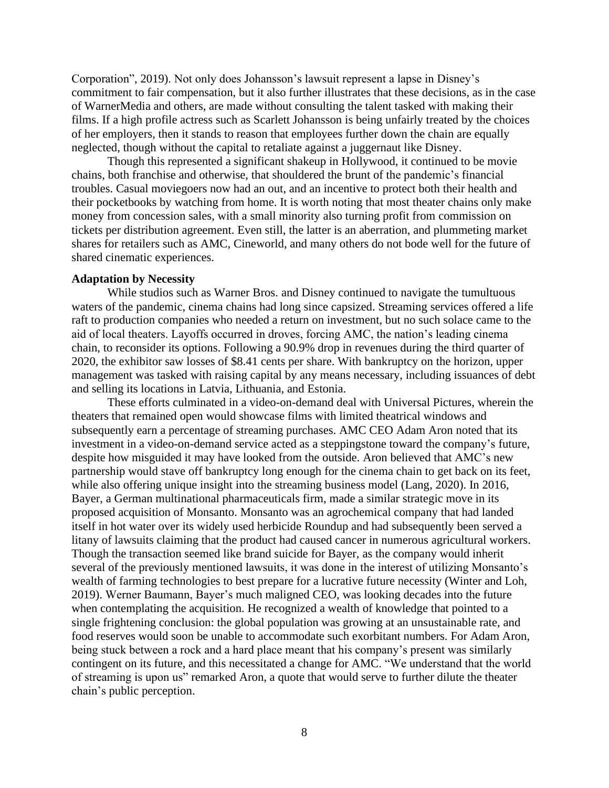Corporation", 2019). Not only does Johansson's lawsuit represent a lapse in Disney's commitment to fair compensation, but it also further illustrates that these decisions, as in the case of WarnerMedia and others, are made without consulting the talent tasked with making their films. If a high profile actress such as Scarlett Johansson is being unfairly treated by the choices of her employers, then it stands to reason that employees further down the chain are equally neglected, though without the capital to retaliate against a juggernaut like Disney.

Though this represented a significant shakeup in Hollywood, it continued to be movie chains, both franchise and otherwise, that shouldered the brunt of the pandemic's financial troubles. Casual moviegoers now had an out, and an incentive to protect both their health and their pocketbooks by watching from home. It is worth noting that most theater chains only make money from concession sales, with a small minority also turning profit from commission on tickets per distribution agreement. Even still, the latter is an aberration, and plummeting market shares for retailers such as AMC, Cineworld, and many others do not bode well for the future of shared cinematic experiences.

#### **Adaptation by Necessity**

While studios such as Warner Bros. and Disney continued to navigate the tumultuous waters of the pandemic, cinema chains had long since capsized. Streaming services offered a life raft to production companies who needed a return on investment, but no such solace came to the aid of local theaters. Layoffs occurred in droves, forcing AMC, the nation's leading cinema chain, to reconsider its options. Following a 90.9% drop in revenues during the third quarter of 2020, the exhibitor saw losses of \$8.41 cents per share. With bankruptcy on the horizon, upper management was tasked with raising capital by any means necessary, including issuances of debt and selling its locations in Latvia, Lithuania, and Estonia.

These efforts culminated in a video-on-demand deal with Universal Pictures, wherein the theaters that remained open would showcase films with limited theatrical windows and subsequently earn a percentage of streaming purchases. AMC CEO Adam Aron noted that its investment in a video-on-demand service acted as a steppingstone toward the company's future, despite how misguided it may have looked from the outside. Aron believed that AMC's new partnership would stave off bankruptcy long enough for the cinema chain to get back on its feet, while also offering unique insight into the streaming business model (Lang, 2020). In 2016, Bayer, a German multinational pharmaceuticals firm, made a similar strategic move in its proposed acquisition of Monsanto. Monsanto was an agrochemical company that had landed itself in hot water over its widely used herbicide Roundup and had subsequently been served a litany of lawsuits claiming that the product had caused cancer in numerous agricultural workers. Though the transaction seemed like brand suicide for Bayer, as the company would inherit several of the previously mentioned lawsuits, it was done in the interest of utilizing Monsanto's wealth of farming technologies to best prepare for a lucrative future necessity (Winter and Loh, 2019). Werner Baumann, Bayer's much maligned CEO, was looking decades into the future when contemplating the acquisition. He recognized a wealth of knowledge that pointed to a single frightening conclusion: the global population was growing at an unsustainable rate, and food reserves would soon be unable to accommodate such exorbitant numbers. For Adam Aron, being stuck between a rock and a hard place meant that his company's present was similarly contingent on its future, and this necessitated a change for AMC. "We understand that the world of streaming is upon us" remarked Aron, a quote that would serve to further dilute the theater chain's public perception.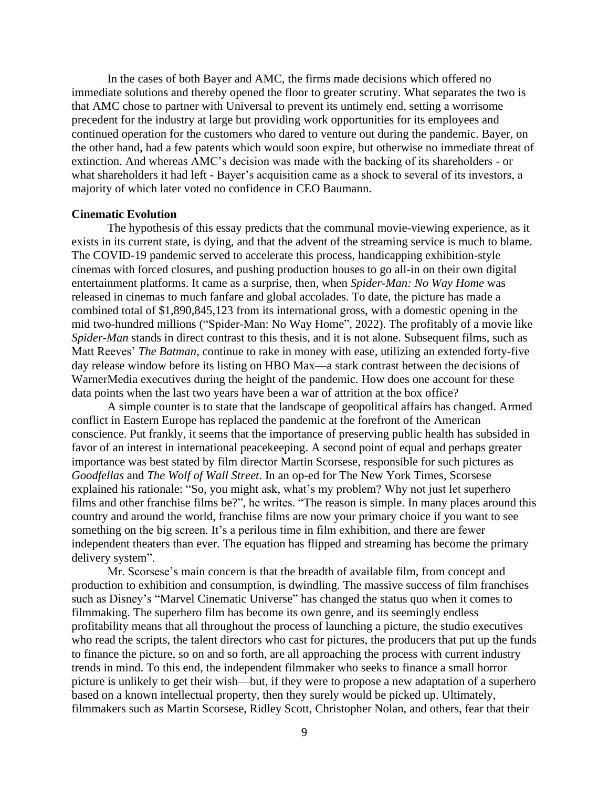In the cases of both Bayer and AMC, the firms made decisions which offered no immediate solutions and thereby opened the floor to greater scrutiny. What separates the two is that AMC chose to partner with Universal to prevent its untimely end, setting a worrisome precedent for the industry at large but providing work opportunities for its employees and continued operation for the customers who dared to venture out during the pandemic. Bayer, on the other hand, had a few patents which would soon expire, but otherwise no immediate threat of extinction. And whereas AMC's decision was made with the backing of its shareholders - or what shareholders it had left - Bayer's acquisition came as a shock to several of its investors, a majority of which later voted no confidence in CEO Baumann.

#### **Cinematic Evolution**

The hypothesis of this essay predicts that the communal movie-viewing experience, as it exists in its current state, is dying, and that the advent of the streaming service is much to blame. The COVID-19 pandemic served to accelerate this process, handicapping exhibition-style cinemas with forced closures, and pushing production houses to go all-in on their own digital entertainment platforms. It came as a surprise, then, when *Spider-Man: No Way Home* was released in cinemas to much fanfare and global accolades. To date, the picture has made a combined total of \$1,890,845,123 from its international gross, with a domestic opening in the mid two-hundred millions ("Spider-Man: No Way Home", 2022). The profitably of a movie like *Spider-Man* stands in direct contrast to this thesis, and it is not alone. Subsequent films, such as Matt Reeves' *The Batman*, continue to rake in money with ease, utilizing an extended forty-five day release window before its listing on HBO Max—a stark contrast between the decisions of WarnerMedia executives during the height of the pandemic. How does one account for these data points when the last two years have been a war of attrition at the box office?

A simple counter is to state that the landscape of geopolitical affairs has changed. Armed conflict in Eastern Europe has replaced the pandemic at the forefront of the American conscience. Put frankly, it seems that the importance of preserving public health has subsided in favor of an interest in international peacekeeping. A second point of equal and perhaps greater importance was best stated by film director Martin Scorsese, responsible for such pictures as *Goodfellas* and *The Wolf of Wall Street*. In an op-ed for The New York Times, Scorsese explained his rationale: "So, you might ask, what's my problem? Why not just let superhero films and other franchise films be?", he writes. "The reason is simple. In many places around this country and around the world, franchise films are now your primary choice if you want to see something on the big screen. It's a perilous time in film exhibition, and there are fewer independent theaters than ever. The equation has flipped and streaming has become the primary delivery system".

Mr. Scorsese's main concern is that the breadth of available film, from concept and production to exhibition and consumption, is dwindling. The massive success of film franchises such as Disney's "Marvel Cinematic Universe" has changed the status quo when it comes to filmmaking. The superhero film has become its own genre, and its seemingly endless profitability means that all throughout the process of launching a picture, the studio executives who read the scripts, the talent directors who cast for pictures, the producers that put up the funds to finance the picture, so on and so forth, are all approaching the process with current industry trends in mind. To this end, the independent filmmaker who seeks to finance a small horror picture is unlikely to get their wish—but, if they were to propose a new adaptation of a superhero based on a known intellectual property, then they surely would be picked up. Ultimately, filmmakers such as Martin Scorsese, Ridley Scott, Christopher Nolan, and others, fear that their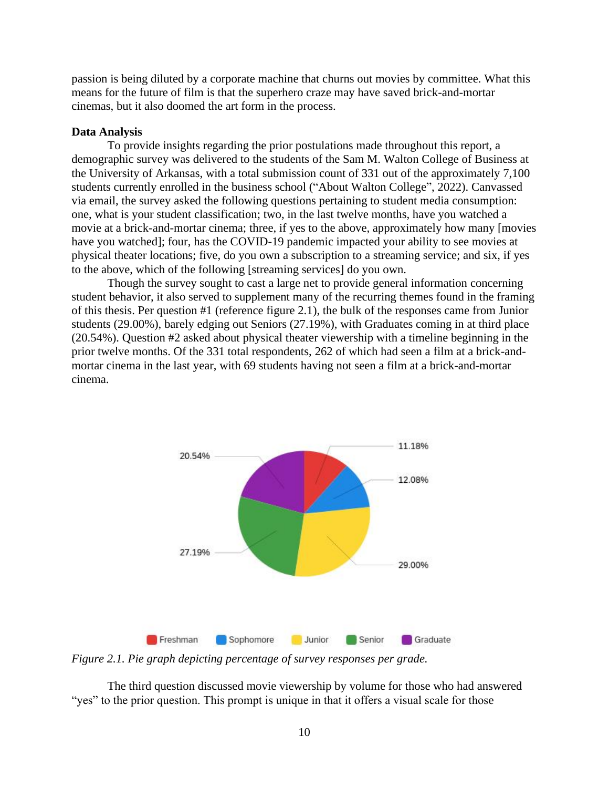passion is being diluted by a corporate machine that churns out movies by committee. What this means for the future of film is that the superhero craze may have saved brick-and-mortar cinemas, but it also doomed the art form in the process.

#### **Data Analysis**

To provide insights regarding the prior postulations made throughout this report, a demographic survey was delivered to the students of the Sam M. Walton College of Business at the University of Arkansas, with a total submission count of 331 out of the approximately 7,100 students currently enrolled in the business school ("About Walton College", 2022). Canvassed via email, the survey asked the following questions pertaining to student media consumption: one, what is your student classification; two, in the last twelve months, have you watched a movie at a brick-and-mortar cinema; three, if yes to the above, approximately how many [movies have you watched]; four, has the COVID-19 pandemic impacted your ability to see movies at physical theater locations; five, do you own a subscription to a streaming service; and six, if yes to the above, which of the following [streaming services] do you own.

Though the survey sought to cast a large net to provide general information concerning student behavior, it also served to supplement many of the recurring themes found in the framing of this thesis. Per question #1 (reference figure 2.1), the bulk of the responses came from Junior students (29.00%), barely edging out Seniors (27.19%), with Graduates coming in at third place (20.54%). Question #2 asked about physical theater viewership with a timeline beginning in the prior twelve months. Of the 331 total respondents, 262 of which had seen a film at a brick-andmortar cinema in the last year, with 69 students having not seen a film at a brick-and-mortar cinema.



*Figure 2.1. Pie graph depicting percentage of survey responses per grade.*

The third question discussed movie viewership by volume for those who had answered "yes" to the prior question. This prompt is unique in that it offers a visual scale for those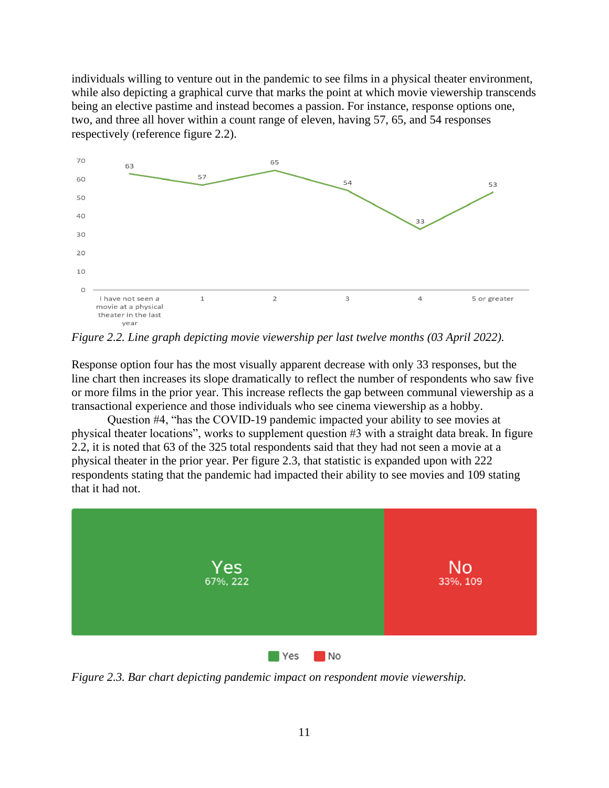individuals willing to venture out in the pandemic to see films in a physical theater environment, while also depicting a graphical curve that marks the point at which movie viewership transcends being an elective pastime and instead becomes a passion. For instance, response options one, two, and three all hover within a count range of eleven, having 57, 65, and 54 responses respectively (reference figure 2.2).



*Figure 2.2. Line graph depicting movie viewership per last twelve months (03 April 2022).*

Response option four has the most visually apparent decrease with only 33 responses, but the line chart then increases its slope dramatically to reflect the number of respondents who saw five or more films in the prior year. This increase reflects the gap between communal viewership as a transactional experience and those individuals who see cinema viewership as a hobby.

Question #4, "has the COVID-19 pandemic impacted your ability to see movies at physical theater locations", works to supplement question #3 with a straight data break. In figure 2.2, it is noted that 63 of the 325 total respondents said that they had not seen a movie at a physical theater in the prior year. Per figure 2.3, that statistic is expanded upon with 222 respondents stating that the pandemic had impacted their ability to see movies and 109 stating that it had not.



*Figure 2.3. Bar chart depicting pandemic impact on respondent movie viewership.*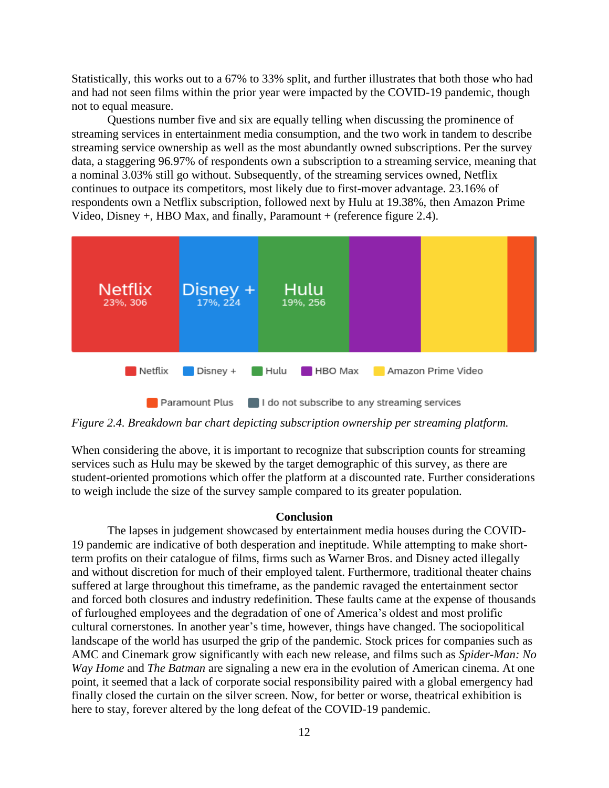Statistically, this works out to a 67% to 33% split, and further illustrates that both those who had and had not seen films within the prior year were impacted by the COVID-19 pandemic, though not to equal measure.

Questions number five and six are equally telling when discussing the prominence of streaming services in entertainment media consumption, and the two work in tandem to describe streaming service ownership as well as the most abundantly owned subscriptions. Per the survey data, a staggering 96.97% of respondents own a subscription to a streaming service, meaning that a nominal 3.03% still go without. Subsequently, of the streaming services owned, Netflix continues to outpace its competitors, most likely due to first-mover advantage. 23.16% of respondents own a Netflix subscription, followed next by Hulu at 19.38%, then Amazon Prime Video, Disney +, HBO Max, and finally, Paramount + (reference figure 2.4).



*Figure 2.4. Breakdown bar chart depicting subscription ownership per streaming platform.*

When considering the above, it is important to recognize that subscription counts for streaming services such as Hulu may be skewed by the target demographic of this survey, as there are student-oriented promotions which offer the platform at a discounted rate. Further considerations to weigh include the size of the survey sample compared to its greater population.

#### **Conclusion**

The lapses in judgement showcased by entertainment media houses during the COVID-19 pandemic are indicative of both desperation and ineptitude. While attempting to make shortterm profits on their catalogue of films, firms such as Warner Bros. and Disney acted illegally and without discretion for much of their employed talent. Furthermore, traditional theater chains suffered at large throughout this timeframe, as the pandemic ravaged the entertainment sector and forced both closures and industry redefinition. These faults came at the expense of thousands of furloughed employees and the degradation of one of America's oldest and most prolific cultural cornerstones. In another year's time, however, things have changed. The sociopolitical landscape of the world has usurped the grip of the pandemic. Stock prices for companies such as AMC and Cinemark grow significantly with each new release, and films such as *Spider-Man: No Way Home* and *The Batman* are signaling a new era in the evolution of American cinema. At one point, it seemed that a lack of corporate social responsibility paired with a global emergency had finally closed the curtain on the silver screen. Now, for better or worse, theatrical exhibition is here to stay, forever altered by the long defeat of the COVID-19 pandemic.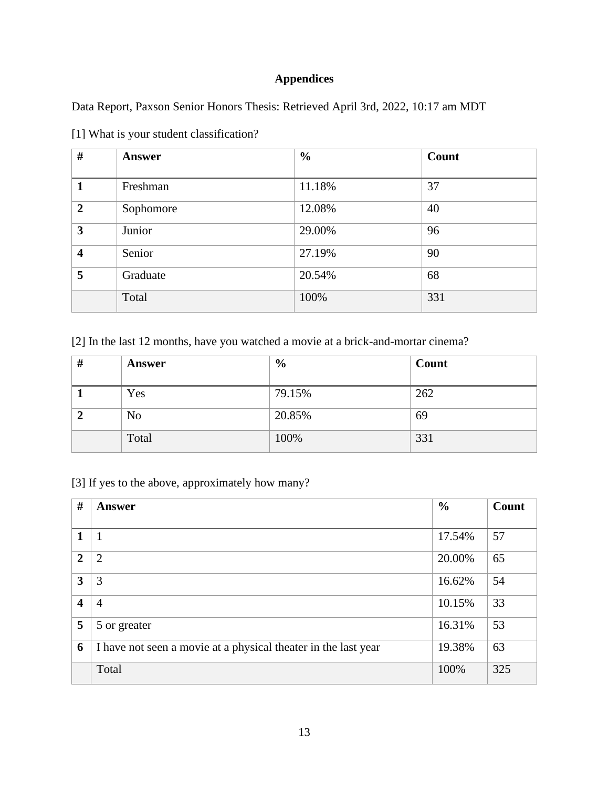# **Appendices**

Data Report, Paxson Senior Honors Thesis: Retrieved April 3rd, 2022, 10:17 am MDT

| #                       | Answer    | $\frac{0}{0}$ | Count |
|-------------------------|-----------|---------------|-------|
| 1                       | Freshman  | 11.18%        | 37    |
| $\overline{2}$          | Sophomore | 12.08%        | 40    |
| 3                       | Junior    | 29.00%        | 96    |
| $\overline{\mathbf{4}}$ | Senior    | 27.19%        | 90    |
| 5                       | Graduate  | 20.54%        | 68    |
|                         | Total     | 100%          | 331   |

[1] What is your student classification?

[2] In the last 12 months, have you watched a movie at a brick-and-mortar cinema?

| #              | <b>Answer</b>  | $\frac{6}{9}$ | Count |
|----------------|----------------|---------------|-------|
|                | Yes            | 79.15%        | 262   |
| $\overline{2}$ | N <sub>o</sub> | 20.85%        | 69    |
|                | Total          | 100%          | 331   |

[3] If yes to the above, approximately how many?

| $\#$                    | Answer                                                         | $\frac{6}{6}$ | Count |
|-------------------------|----------------------------------------------------------------|---------------|-------|
|                         |                                                                |               |       |
| 1                       |                                                                | 17.54%        | 57    |
| $\overline{2}$          | 2                                                              | 20.00%        | 65    |
| 3                       | 3                                                              | 16.62%        | 54    |
| $\overline{\mathbf{4}}$ | $\overline{4}$                                                 | 10.15%        | 33    |
| 5                       | 5 or greater                                                   | 16.31%        | 53    |
| 6                       | I have not seen a movie at a physical theater in the last year | 19.38%        | 63    |
|                         | Total                                                          | 100%          | 325   |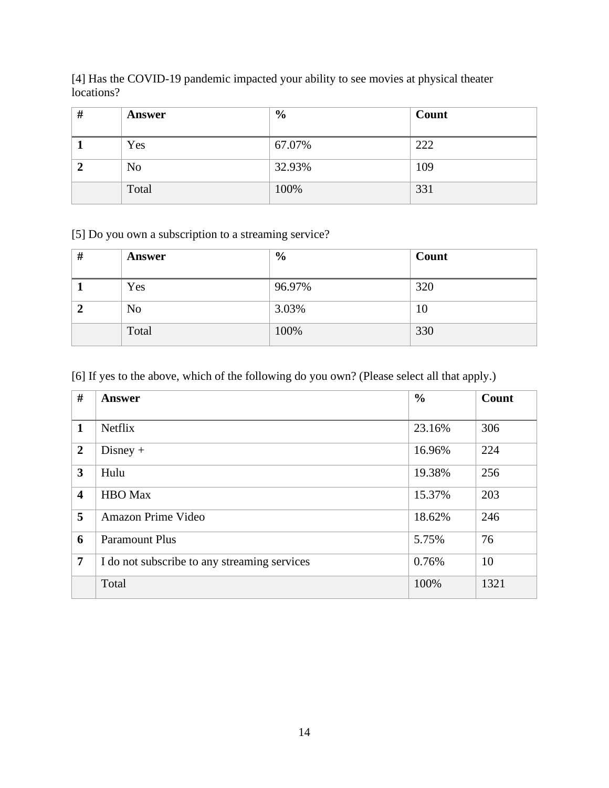[4] Has the COVID-19 pandemic impacted your ability to see movies at physical theater locations?

| # | <b>Answer</b>  | $\frac{6}{9}$ | Count |
|---|----------------|---------------|-------|
|   | Yes            | 67.07%        | 222   |
|   | N <sub>0</sub> | 32.93%        | 109   |
|   | Total          | 100%          | 331   |

[5] Do you own a subscription to a streaming service?

| #            | <b>Answer</b>  | $\frac{6}{9}$ | Count |
|--------------|----------------|---------------|-------|
|              | Yes            | 96.97%        | 320   |
| $\mathbf{2}$ | N <sub>o</sub> | 3.03%         | 10    |
|              | Total          | 100%          | 330   |

[6] If yes to the above, which of the following do you own? (Please select all that apply.)

| #                       | <b>Answer</b>                                | $\frac{0}{0}$ | Count |
|-------------------------|----------------------------------------------|---------------|-------|
| $\mathbf{1}$            | <b>Netflix</b>                               | 23.16%        | 306   |
| $\overline{2}$          | $Disney +$                                   | 16.96%        | 224   |
| $\mathbf{3}$            | Hulu                                         | 19.38%        | 256   |
| $\overline{\mathbf{4}}$ | <b>HBO</b> Max                               | 15.37%        | 203   |
| 5                       | Amazon Prime Video                           | 18.62%        | 246   |
| 6                       | <b>Paramount Plus</b>                        | 5.75%         | 76    |
| $\overline{7}$          | I do not subscribe to any streaming services | 0.76%         | 10    |
|                         | Total                                        | 100%          | 1321  |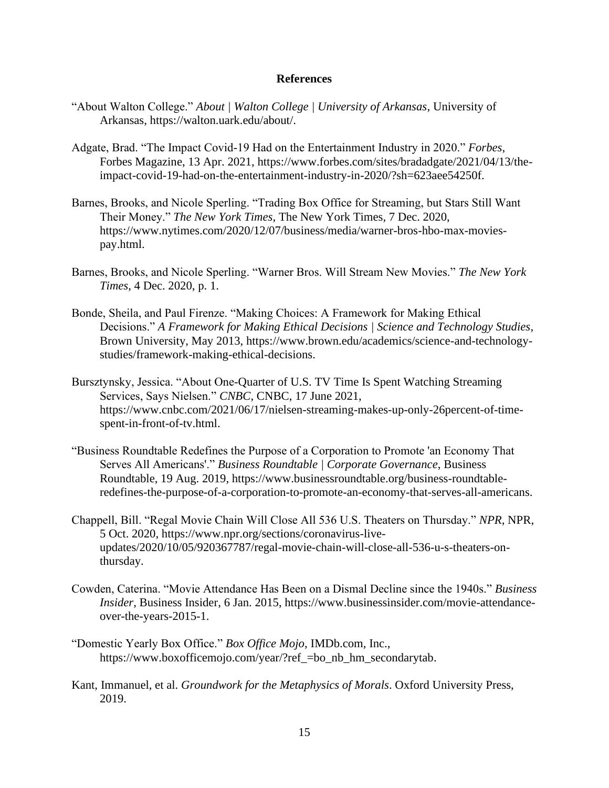#### **References**

- "About Walton College." *About | Walton College | University of Arkansas*, University of Arkansas, https://walton.uark.edu/about/.
- Adgate, Brad. "The Impact Covid-19 Had on the Entertainment Industry in 2020." *Forbes*, Forbes Magazine, 13 Apr. 2021, https://www.forbes.com/sites/bradadgate/2021/04/13/theimpact-covid-19-had-on-the-entertainment-industry-in-2020/?sh=623aee54250f.
- Barnes, Brooks, and Nicole Sperling. "Trading Box Office for Streaming, but Stars Still Want Their Money." *The New York Times*, The New York Times, 7 Dec. 2020, https://www.nytimes.com/2020/12/07/business/media/warner-bros-hbo-max-moviespay.html.
- Barnes, Brooks, and Nicole Sperling. "Warner Bros. Will Stream New Movies." *The New York Times*, 4 Dec. 2020, p. 1.
- Bonde, Sheila, and Paul Firenze. "Making Choices: A Framework for Making Ethical Decisions." *A Framework for Making Ethical Decisions | Science and Technology Studies*, Brown University, May 2013, https://www.brown.edu/academics/science-and-technologystudies/framework-making-ethical-decisions.
- Bursztynsky, Jessica. "About One-Quarter of U.S. TV Time Is Spent Watching Streaming Services, Says Nielsen." *CNBC*, CNBC, 17 June 2021, https://www.cnbc.com/2021/06/17/nielsen-streaming-makes-up-only-26percent-of-timespent-in-front-of-tv.html.
- "Business Roundtable Redefines the Purpose of a Corporation to Promote 'an Economy That Serves All Americans'." *Business Roundtable | Corporate Governance*, Business Roundtable, 19 Aug. 2019, https://www.businessroundtable.org/business-roundtableredefines-the-purpose-of-a-corporation-to-promote-an-economy-that-serves-all-americans.
- Chappell, Bill. "Regal Movie Chain Will Close All 536 U.S. Theaters on Thursday." *NPR*, NPR, 5 Oct. 2020, https://www.npr.org/sections/coronavirus-liveupdates/2020/10/05/920367787/regal-movie-chain-will-close-all-536-u-s-theaters-onthursday.
- Cowden, Caterina. "Movie Attendance Has Been on a Dismal Decline since the 1940s." *Business Insider*, Business Insider, 6 Jan. 2015, https://www.businessinsider.com/movie-attendanceover-the-years-2015-1.
- "Domestic Yearly Box Office." *Box Office Mojo*, IMDb.com, Inc., https://www.boxofficemojo.com/year/?ref\_=bo\_nb\_hm\_secondarytab.
- Kant, Immanuel, et al. *Groundwork for the Metaphysics of Morals*. Oxford University Press, 2019.